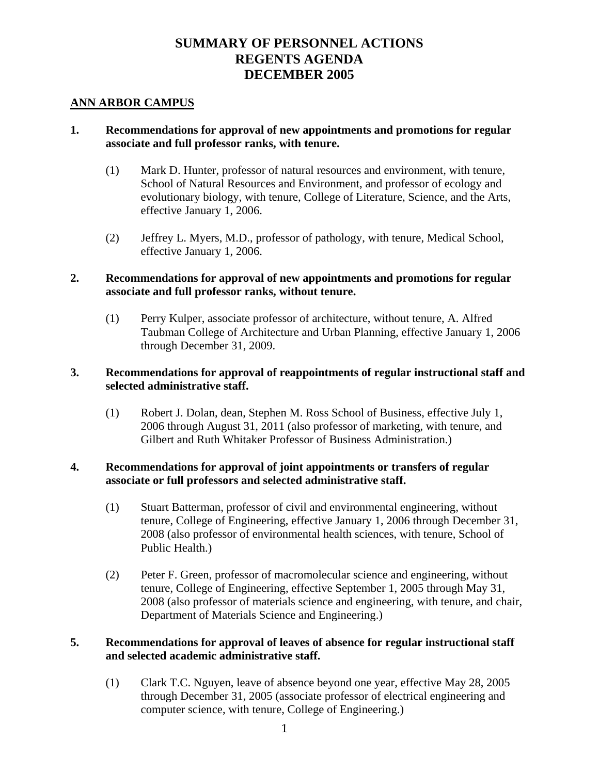# **SUMMARY OF PERSONNEL ACTIONS REGENTS AGENDA DECEMBER 2005**

#### **ANN ARBOR CAMPUS**

### **1. Recommendations for approval of new appointments and promotions for regular associate and full professor ranks, with tenure.**

- (1) Mark D. Hunter, professor of natural resources and environment, with tenure, School of Natural Resources and Environment, and professor of ecology and evolutionary biology, with tenure, College of Literature, Science, and the Arts, effective January 1, 2006.
- (2) Jeffrey L. Myers, M.D., professor of pathology, with tenure, Medical School, effective January 1, 2006.

#### **2. Recommendations for approval of new appointments and promotions for regular associate and full professor ranks, without tenure.**

(1) Perry Kulper, associate professor of architecture, without tenure, A. Alfred Taubman College of Architecture and Urban Planning, effective January 1, 2006 through December 31, 2009.

### **3. Recommendations for approval of reappointments of regular instructional staff and selected administrative staff.**

(1) Robert J. Dolan, dean, Stephen M. Ross School of Business, effective July 1, 2006 through August 31, 2011 (also professor of marketing, with tenure, and Gilbert and Ruth Whitaker Professor of Business Administration.)

### **4. Recommendations for approval of joint appointments or transfers of regular associate or full professors and selected administrative staff.**

- (1) Stuart Batterman, professor of civil and environmental engineering, without tenure, College of Engineering, effective January 1, 2006 through December 31, 2008 (also professor of environmental health sciences, with tenure, School of Public Health.)
- (2) Peter F. Green, professor of macromolecular science and engineering, without tenure, College of Engineering, effective September 1, 2005 through May 31, 2008 (also professor of materials science and engineering, with tenure, and chair, Department of Materials Science and Engineering.)

### **5. Recommendations for approval of leaves of absence for regular instructional staff and selected academic administrative staff.**

(1) Clark T.C. Nguyen, leave of absence beyond one year, effective May 28, 2005 through December 31, 2005 (associate professor of electrical engineering and computer science, with tenure, College of Engineering.)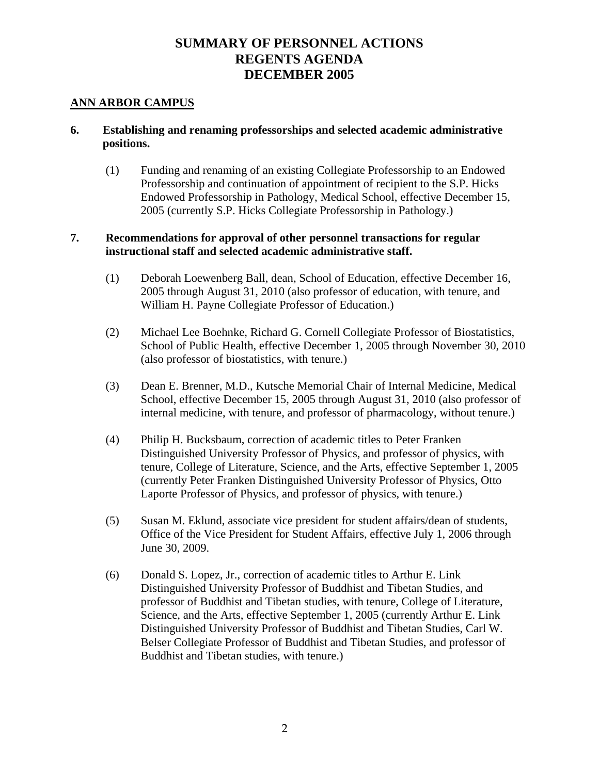# **SUMMARY OF PERSONNEL ACTIONS REGENTS AGENDA DECEMBER 2005**

### **ANN ARBOR CAMPUS**

### **6. Establishing and renaming professorships and selected academic administrative positions.**

(1) Funding and renaming of an existing Collegiate Professorship to an Endowed Professorship and continuation of appointment of recipient to the S.P. Hicks Endowed Professorship in Pathology, Medical School, effective December 15, 2005 (currently S.P. Hicks Collegiate Professorship in Pathology.)

### **7. Recommendations for approval of other personnel transactions for regular instructional staff and selected academic administrative staff.**

- (1) Deborah Loewenberg Ball, dean, School of Education, effective December 16, 2005 through August 31, 2010 (also professor of education, with tenure, and William H. Payne Collegiate Professor of Education.)
- (2) Michael Lee Boehnke, Richard G. Cornell Collegiate Professor of Biostatistics, School of Public Health, effective December 1, 2005 through November 30, 2010 (also professor of biostatistics, with tenure.)
- (3) Dean E. Brenner, M.D., Kutsche Memorial Chair of Internal Medicine, Medical School, effective December 15, 2005 through August 31, 2010 (also professor of internal medicine, with tenure, and professor of pharmacology, without tenure.)
- (4) Philip H. Bucksbaum, correction of academic titles to Peter Franken Distinguished University Professor of Physics, and professor of physics, with tenure, College of Literature, Science, and the Arts, effective September 1, 2005 (currently Peter Franken Distinguished University Professor of Physics, Otto Laporte Professor of Physics, and professor of physics, with tenure.)
- (5) Susan M. Eklund, associate vice president for student affairs/dean of students, Office of the Vice President for Student Affairs, effective July 1, 2006 through June 30, 2009.
- (6) Donald S. Lopez, Jr., correction of academic titles to Arthur E. Link Distinguished University Professor of Buddhist and Tibetan Studies, and professor of Buddhist and Tibetan studies, with tenure, College of Literature, Science, and the Arts, effective September 1, 2005 (currently Arthur E. Link Distinguished University Professor of Buddhist and Tibetan Studies, Carl W. Belser Collegiate Professor of Buddhist and Tibetan Studies, and professor of Buddhist and Tibetan studies, with tenure.)